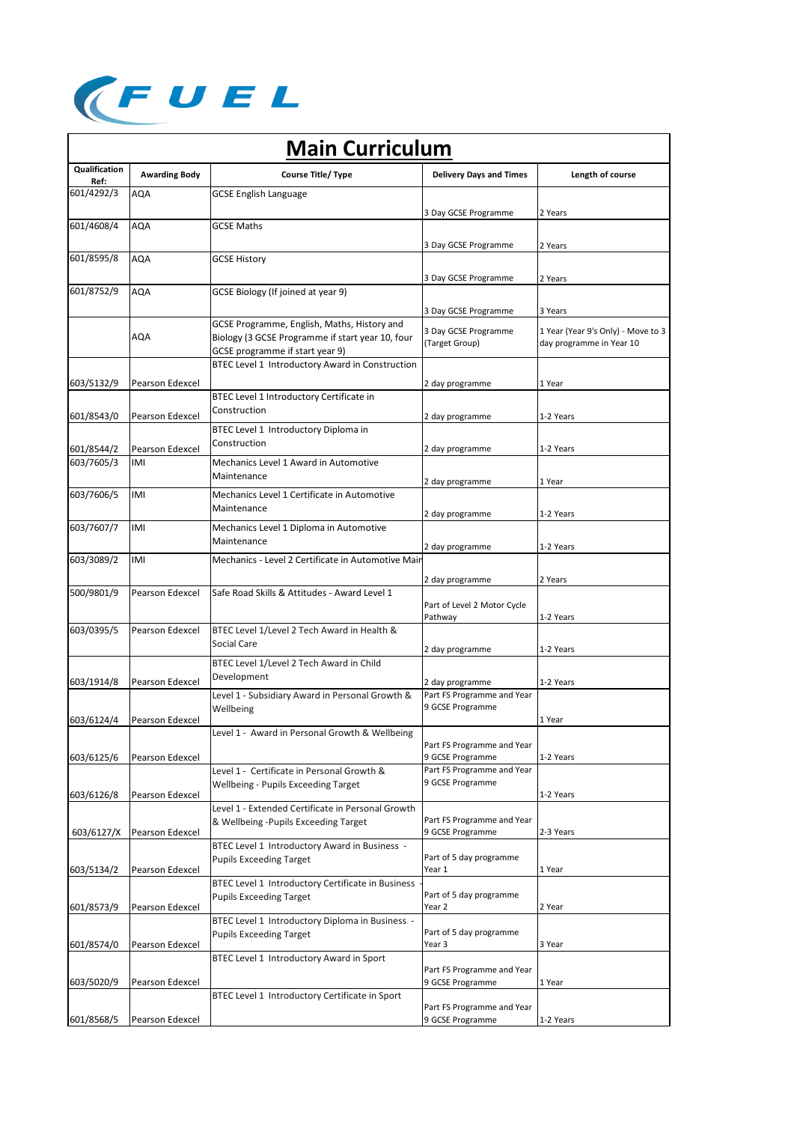

| <b>Main Curriculum</b>       |                        |                                                                                           |                                                |                                    |  |  |
|------------------------------|------------------------|-------------------------------------------------------------------------------------------|------------------------------------------------|------------------------------------|--|--|
| <b>Qualification</b><br>Ref: | <b>Awarding Body</b>   | Course Title/ Type                                                                        | <b>Delivery Days and Times</b>                 | Length of course                   |  |  |
| 601/4292/3                   | <b>AQA</b>             | <b>GCSE English Language</b>                                                              |                                                |                                    |  |  |
|                              |                        |                                                                                           | 3 Day GCSE Programme                           | 2 Years                            |  |  |
| 601/4608/4                   | AQA                    | GCSE Maths                                                                                |                                                |                                    |  |  |
|                              |                        |                                                                                           | 3 Day GCSE Programme                           | 2 Years                            |  |  |
| 601/8595/8                   | <b>AQA</b>             | <b>GCSE History</b>                                                                       |                                                |                                    |  |  |
|                              |                        |                                                                                           | 3 Day GCSE Programme                           | 2 Years                            |  |  |
| 601/8752/9                   | <b>AQA</b>             | GCSE Biology (If joined at year 9)                                                        |                                                |                                    |  |  |
|                              |                        |                                                                                           | 3 Day GCSE Programme                           | 3 Years                            |  |  |
|                              |                        | GCSE Programme, English, Maths, History and                                               | 3 Day GCSE Programme                           | 1 Year (Year 9's Only) - Move to 3 |  |  |
|                              | AQA                    | Biology (3 GCSE Programme if start year 10, four                                          | (Target Group)                                 | day programme in Year 10           |  |  |
|                              |                        | GCSE programme if start year 9)<br>BTEC Level 1 Introductory Award in Construction        |                                                |                                    |  |  |
|                              |                        |                                                                                           |                                                |                                    |  |  |
| 603/5132/9                   | Pearson Edexcel        | BTEC Level 1 Introductory Certificate in                                                  | 2 day programme                                | 1 Year                             |  |  |
|                              |                        | Construction                                                                              |                                                |                                    |  |  |
| 601/8543/0                   | Pearson Edexcel        | BTEC Level 1 Introductory Diploma in                                                      | 2 day programme                                | 1-2 Years                          |  |  |
|                              |                        | Construction                                                                              |                                                |                                    |  |  |
| 601/8544/2<br>603/7605/3     | Pearson Edexcel<br>IMI | Mechanics Level 1 Award in Automotive                                                     | 2 day programme                                | 1-2 Years                          |  |  |
|                              |                        | Maintenance                                                                               |                                                |                                    |  |  |
| 603/7606/5                   | IMI                    | Mechanics Level 1 Certificate in Automotive                                               | 2 day programme                                | 1 Year                             |  |  |
|                              |                        | Maintenance                                                                               |                                                |                                    |  |  |
|                              | IMI                    |                                                                                           | 2 day programme                                | 1-2 Years                          |  |  |
| 603/7607/7                   |                        | Mechanics Level 1 Diploma in Automotive<br>Maintenance                                    |                                                |                                    |  |  |
| 603/3089/2                   | IMI                    | Mechanics - Level 2 Certificate in Automotive Mair                                        | 2 day programme                                | 1-2 Years                          |  |  |
|                              |                        |                                                                                           |                                                |                                    |  |  |
| 500/9801/9                   | Pearson Edexcel        | Safe Road Skills & Attitudes - Award Level 1                                              | 2 day programme                                | 2 Years                            |  |  |
|                              |                        |                                                                                           | Part of Level 2 Motor Cycle                    |                                    |  |  |
|                              |                        |                                                                                           | Pathway                                        | 1-2 Years                          |  |  |
| 603/0395/5                   | Pearson Edexcel        | BTEC Level 1/Level 2 Tech Award in Health &                                               |                                                |                                    |  |  |
|                              |                        | Social Care                                                                               | 2 day programme                                | 1-2 Years                          |  |  |
|                              |                        | BTEC Level 1/Level 2 Tech Award in Child                                                  |                                                |                                    |  |  |
| 603/1914/8                   | <b>Pearson Edexcel</b> | Development                                                                               | 2 day programme                                | 1-2 Years                          |  |  |
|                              |                        | Level 1 - Subsidiary Award in Personal Growth &                                           | Part FS Programme and Year<br>9 GCSE Programme |                                    |  |  |
| 603/6124/4                   | Pearson Edexcel        | Wellbeing                                                                                 |                                                | 1 Year                             |  |  |
|                              |                        | Level 1 - "Award in Personal Growth & Wellbeing                                           |                                                |                                    |  |  |
|                              | Pearson Edexcel        |                                                                                           | Part FS Programme and Year<br>9 GCSE Programme | 1-2 Years                          |  |  |
| 603/6125/6                   |                        | Level 1 - Certificate in Personal Growth &                                                | Part FS Programme and Year                     |                                    |  |  |
|                              |                        | Wellbeing - Pupils Exceeding Target                                                       | 9 GCSE Programme                               |                                    |  |  |
| 603/6126/8                   | Pearson Edexcel        |                                                                                           |                                                | 1-2 Years                          |  |  |
|                              |                        | Level 1 - Extended Certificate in Personal Growth<br>& Wellbeing -Pupils Exceeding Target | Part FS Programme and Year                     |                                    |  |  |
| 603/6127/X                   | Pearson Edexcel        |                                                                                           | 9 GCSE Programme                               | 2-3 Years                          |  |  |
|                              |                        | BTEC Level 1 Introductory Award in Business -                                             |                                                |                                    |  |  |
|                              | Pearson Edexcel        | <b>Pupils Exceeding Target</b>                                                            | Part of 5 day programme<br>Year 1              | 1 Year                             |  |  |
| 603/5134/2                   |                        | BTEC Level 1 Introductory Certificate in Business                                         |                                                |                                    |  |  |
|                              |                        | <b>Pupils Exceeding Target</b>                                                            | Part of 5 day programme                        |                                    |  |  |
| 601/8573/9                   | Pearson Edexcel        |                                                                                           | Year 2                                         | 2 Year                             |  |  |
|                              |                        | BTEC Level 1 Introductory Diploma in Business -<br><b>Pupils Exceeding Target</b>         | Part of 5 day programme                        |                                    |  |  |
| 601/8574/0                   | Pearson Edexcel        |                                                                                           | Year 3                                         | 3 Year                             |  |  |
|                              |                        | BTEC Level 1 Introductory Award in Sport                                                  |                                                |                                    |  |  |
| 603/5020/9                   | Pearson Edexcel        |                                                                                           | Part FS Programme and Year<br>9 GCSE Programme | 1 Year                             |  |  |
|                              |                        | BTEC Level 1 Introductory Certificate in Sport                                            |                                                |                                    |  |  |
|                              |                        |                                                                                           | Part FS Programme and Year                     |                                    |  |  |
| 601/8568/5                   | Pearson Edexcel        |                                                                                           | 9 GCSE Programme                               | 1-2 Years                          |  |  |